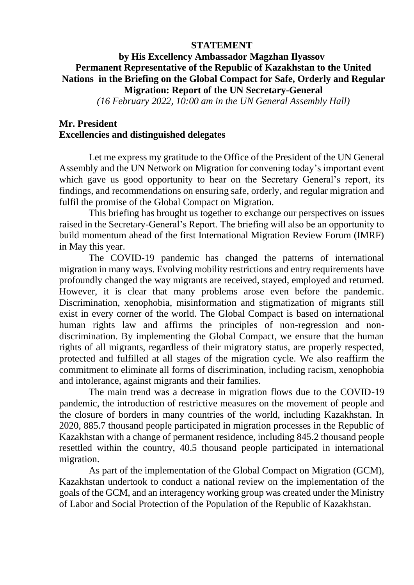## **STATEMENT**

## **by His Excellency Ambassador Magzhan Ilyassov Permanent Representative of the Republic of Kazakhstan to the United Nations in the Briefing on the Global Compact for Safe, Orderly and Regular Migration: Report of the UN Secretary-General**

*(16 February 2022, 10:00 am in the UN General Assembly Hall)*

## **Mr. President Excellencies and distinguished delegates**

Let me express my gratitude to the Office of the President of the UN General Assembly and the UN Network on Migration for convening today's important event which gave us good opportunity to hear on the Secretary General's report, its findings, and recommendations on ensuring safe, orderly, and regular migration and fulfil the promise of the Global Compact on Migration.

This briefing has brought us together to exchange our perspectives on issues raised in the Secretary-General's Report. The briefing will also be an opportunity to build momentum ahead of the first International Migration Review Forum (IMRF) in May this year.

The COVID-19 pandemic has changed the patterns of international migration in many ways. Evolving mobility restrictions and entry requirements have profoundly changed the way migrants are received, stayed, employed and returned. However, it is clear that many problems arose even before the pandemic. Discrimination, xenophobia, misinformation and stigmatization of migrants still exist in every corner of the world. The Global Compact is based on international human rights law and affirms the principles of non-regression and nondiscrimination. By implementing the Global Compact, we ensure that the human rights of all migrants, regardless of their migratory status, are properly respected, protected and fulfilled at all stages of the migration cycle. We also reaffirm the commitment to eliminate all forms of discrimination, including racism, xenophobia and intolerance, against migrants and their families.

The main trend was a decrease in migration flows due to the COVID-19 pandemic, the introduction of restrictive measures on the movement of people and the closure of borders in many countries of the world, including Kazakhstan. In 2020, 885.7 thousand people participated in migration processes in the Republic of Kazakhstan with a change of permanent residence, including 845.2 thousand people resettled within the country, 40.5 thousand people participated in international migration.

As part of the implementation of the Global Compact on Migration (GCM), Kazakhstan undertook to conduct a national review on the implementation of the goals of the GCM, and an interagency working group was created under the Ministry of Labor and Social Protection of the Population of the Republic of Kazakhstan.